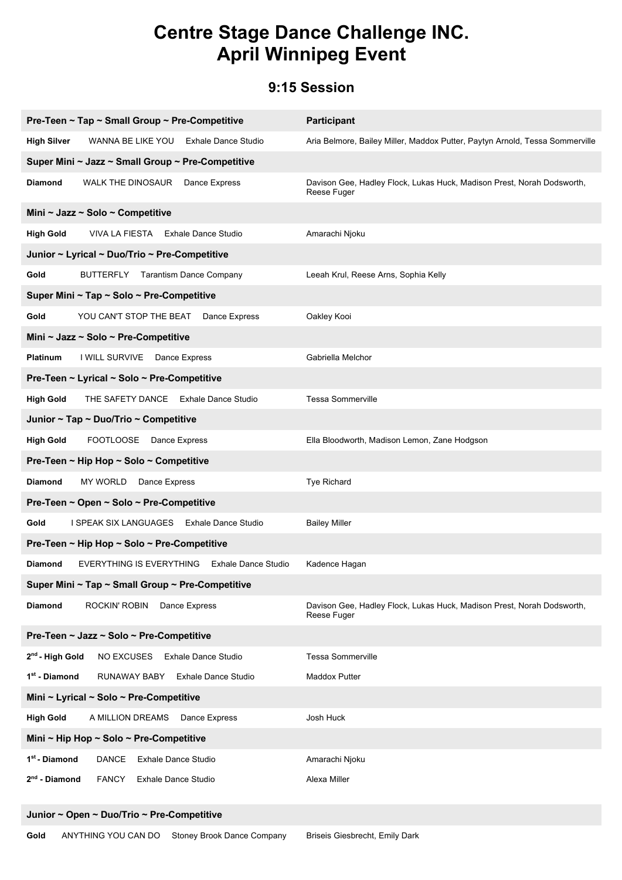# **Centre Stage Dance Challenge INC. April Winnipeg Event**

#### **9:15 Session**

| Pre-Teen ~ Tap ~ Small Group ~ Pre-Competitive                                  | <b>Participant</b>                                                                    |  |  |
|---------------------------------------------------------------------------------|---------------------------------------------------------------------------------------|--|--|
| <b>High Silver</b><br>WANNA BE LIKE YOU Exhale Dance Studio                     | Aria Belmore, Bailey Miller, Maddox Putter, Paytyn Arnold, Tessa Sommerville          |  |  |
| Super Mini ~ Jazz ~ Small Group ~ Pre-Competitive                               |                                                                                       |  |  |
| <b>Diamond</b><br>WALK THE DINOSAUR<br>Dance Express                            | Davison Gee, Hadley Flock, Lukas Huck, Madison Prest, Norah Dodsworth,<br>Reese Fuger |  |  |
| Mini ~ Jazz ~ Solo ~ Competitive                                                |                                                                                       |  |  |
| <b>High Gold</b><br>VIVA LA FIESTA Exhale Dance Studio                          | Amarachi Njoku                                                                        |  |  |
| Junior ~ Lyrical ~ Duo/Trio ~ Pre-Competitive                                   |                                                                                       |  |  |
| <b>Tarantism Dance Company</b><br>Gold<br>BUTTERFLY                             | Leeah Krul, Reese Arns, Sophia Kelly                                                  |  |  |
| Super Mini ~ Tap ~ Solo ~ Pre-Competitive                                       |                                                                                       |  |  |
| Gold<br>YOU CAN'T STOP THE BEAT<br>Dance Express                                | Oakley Kooi                                                                           |  |  |
| Mini ~ Jazz ~ Solo ~ Pre-Competitive                                            |                                                                                       |  |  |
| <b>Platinum</b><br>I WILL SURVIVE Dance Express                                 | Gabriella Melchor                                                                     |  |  |
| Pre-Teen ~ Lyrical ~ Solo ~ Pre-Competitive                                     |                                                                                       |  |  |
| <b>High Gold</b><br>THE SAFETY DANCE Exhale Dance Studio                        | <b>Tessa Sommerville</b>                                                              |  |  |
| Junior ~ Tap ~ Duo/Trio ~ Competitive                                           |                                                                                       |  |  |
| <b>High Gold</b><br><b>FOOTLOOSE</b><br>Dance Express                           | Ella Bloodworth, Madison Lemon, Zane Hodgson                                          |  |  |
| Pre-Teen ~ Hip Hop ~ Solo ~ Competitive                                         |                                                                                       |  |  |
| <b>Diamond</b><br>MY WORLD<br>Dance Express                                     | Tye Richard                                                                           |  |  |
| Pre-Teen ~ Open ~ Solo ~ Pre-Competitive                                        |                                                                                       |  |  |
| Gold<br>I SPEAK SIX LANGUAGES Exhale Dance Studio                               | <b>Bailey Miller</b>                                                                  |  |  |
| Pre-Teen ~ Hip Hop ~ Solo ~ Pre-Competitive                                     |                                                                                       |  |  |
| <b>Diamond</b><br><b>EVERYTHING IS EVERYTHING</b><br><b>Exhale Dance Studio</b> | Kadence Hagan                                                                         |  |  |
| Super Mini ~ Tap ~ Small Group ~ Pre-Competitive                                |                                                                                       |  |  |
| <b>Diamond</b><br>ROCKIN' ROBIN<br>Dance Express                                | Davison Gee, Hadley Flock, Lukas Huck, Madison Prest, Norah Dodsworth,<br>Reese Fuger |  |  |
| Pre-Teen ~ Jazz ~ Solo ~ Pre-Competitive                                        |                                                                                       |  |  |
| 2 <sup>nd</sup> - High Gold<br><b>NO EXCUSES</b><br><b>Exhale Dance Studio</b>  | <b>Tessa Sommerville</b>                                                              |  |  |
| 1 <sup>st</sup> - Diamond<br>RUNAWAY BABY<br><b>Exhale Dance Studio</b>         | <b>Maddox Putter</b>                                                                  |  |  |
| Mini ~ Lyrical ~ Solo ~ Pre-Competitive                                         |                                                                                       |  |  |
| <b>High Gold</b><br>A MILLION DREAMS<br>Dance Express                           | Josh Huck                                                                             |  |  |
| Mini ~ Hip Hop ~ Solo ~ Pre-Competitive                                         |                                                                                       |  |  |
| 1 <sup>st</sup> - Diamond<br><b>DANCE</b><br><b>Exhale Dance Studio</b>         | Amarachi Njoku                                                                        |  |  |
| $2nd$ - Diamond<br><b>FANCY</b><br><b>Exhale Dance Studio</b>                   | Alexa Miller                                                                          |  |  |

#### **Junior ~ Open ~ Duo/Trio ~ Pre-Competitive**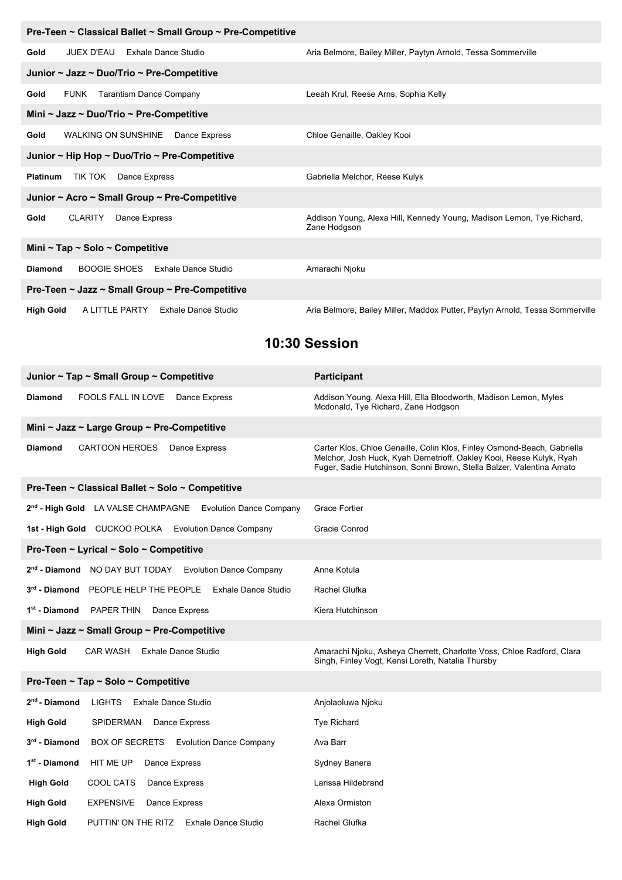| Pre-Teen ~ Classical Ballet ~ Small Group ~ Pre-Competitive      |                                                                                       |  |
|------------------------------------------------------------------|---------------------------------------------------------------------------------------|--|
| JUEX D'EAU<br>Exhale Dance Studio<br>Gold                        | Aria Belmore, Bailey Miller, Paytyn Arnold, Tessa Sommerville                         |  |
| Junior ~ Jazz ~ Duo/Trio ~ Pre-Competitive                       |                                                                                       |  |
| <b>Tarantism Dance Company</b><br>FUNK<br>Gold                   | Leeah Krul, Reese Arns, Sophia Kelly                                                  |  |
| Mini ~ Jazz ~ Duo/Trio ~ Pre-Competitive                         |                                                                                       |  |
| WALKING ON SUNSHINE<br>Gold<br>Dance Express                     | Chloe Genaille, Oakley Kooi                                                           |  |
| Junior ~ Hip Hop ~ Duo/Trio ~ Pre-Competitive                    |                                                                                       |  |
| TIK TOK<br>Dance Express<br><b>Platinum</b>                      | Gabriella Melchor, Reese Kulyk                                                        |  |
| Junior ~ Acro ~ Small Group ~ Pre-Competitive                    |                                                                                       |  |
| <b>CLARITY</b><br>Dance Express<br>Gold                          | Addison Young, Alexa Hill, Kennedy Young, Madison Lemon, Tye Richard,<br>Zane Hodgson |  |
| Mini ~ Tap ~ Solo ~ Competitive                                  |                                                                                       |  |
| BOOGIE SHOES Exhale Dance Studio<br><b>Diamond</b>               | Amarachi Njoku                                                                        |  |
| Pre-Teen $\sim$ Jazz $\sim$ Small Group $\sim$ Pre-Competitive   |                                                                                       |  |
| A LITTLE PARTY<br><b>Exhale Dance Studio</b><br><b>High Gold</b> | Aria Belmore, Bailey Miller, Maddox Putter, Paytyn Arnold, Tessa Sommerville          |  |

#### **10:30 Session**

| Junior ~ Tap ~ Small Group ~ Competitive                                 | <b>Participant</b>                                                                                                                                                                                                     |  |
|--------------------------------------------------------------------------|------------------------------------------------------------------------------------------------------------------------------------------------------------------------------------------------------------------------|--|
| <b>Diamond</b><br><b>FOOLS FALL IN LOVE</b><br>Dance Express             | Addison Young, Alexa Hill, Ella Bloodworth, Madison Lemon, Myles<br>Mcdonald, Tye Richard, Zane Hodgson                                                                                                                |  |
| Mini ~ Jazz ~ Large Group ~ Pre-Competitive                              |                                                                                                                                                                                                                        |  |
| <b>Diamond</b><br><b>CARTOON HEROES</b><br>Dance Express                 | Carter Klos, Chloe Genaille, Colin Klos, Finley Osmond-Beach, Gabriella<br>Melchor, Josh Huck, Kyah Demetrioff, Oakley Kooi, Reese Kulyk, Ryah<br>Fuger, Sadie Hutchinson, Sonni Brown, Stella Balzer, Valentina Amato |  |
| Pre-Teen ~ Classical Ballet ~ Solo ~ Competitive                         |                                                                                                                                                                                                                        |  |
| 2 <sup>nd</sup> - High Gold LA VALSE CHAMPAGNE Evolution Dance Company   | Grace Fortier                                                                                                                                                                                                          |  |
| 1st - High Gold CUCKOO POLKA Evolution Dance Company                     | Gracie Conrod                                                                                                                                                                                                          |  |
| Pre-Teen ~ Lyrical ~ Solo ~ Competitive                                  |                                                                                                                                                                                                                        |  |
| 2 <sup>nd</sup> - Diamond NO DAY BUT TODAY Evolution Dance Company       | Anne Kotula                                                                                                                                                                                                            |  |
| 3rd - Diamond PEOPLE HELP THE PEOPLE Exhale Dance Studio                 | Rachel Glufka                                                                                                                                                                                                          |  |
| 1 <sup>st</sup> - Diamond<br>PAPER THIN<br>Dance Express                 | Kiera Hutchinson                                                                                                                                                                                                       |  |
| Mini ~ Jazz ~ Small Group ~ Pre-Competitive                              |                                                                                                                                                                                                                        |  |
| <b>High Gold</b><br><b>Exhale Dance Studio</b><br>CAR WASH               | Amarachi Njoku, Asheya Cherrett, Charlotte Voss, Chloe Radford, Clara<br>Singh, Finley Vogt, Kensi Loreth, Natalia Thursby                                                                                             |  |
| Pre-Teen ~ Tap ~ Solo ~ Competitive                                      |                                                                                                                                                                                                                        |  |
| 2 <sup>nd</sup> - Diamond<br><b>LIGHTS</b><br><b>Exhale Dance Studio</b> | Anjolaoluwa Njoku                                                                                                                                                                                                      |  |
| <b>High Gold</b><br>SPIDERMAN<br>Dance Express                           | <b>Tye Richard</b>                                                                                                                                                                                                     |  |
| 3 <sup>rd</sup> - Diamond<br>BOX OF SECRETS Evolution Dance Company      | Ava Barr                                                                                                                                                                                                               |  |
| 1 <sup>st</sup> - Diamond<br>HIT ME UP<br>Dance Express                  | Sydney Banera                                                                                                                                                                                                          |  |
| <b>High Gold</b><br>COOL CATS<br>Dance Express                           | Larissa Hildebrand                                                                                                                                                                                                     |  |
| <b>EXPENSIVE</b><br><b>High Gold</b><br>Dance Express                    | Alexa Ormiston                                                                                                                                                                                                         |  |
| <b>High Gold</b><br>PUTTIN' ON THE RITZ Exhale Dance Studio              | Rachel Glufka                                                                                                                                                                                                          |  |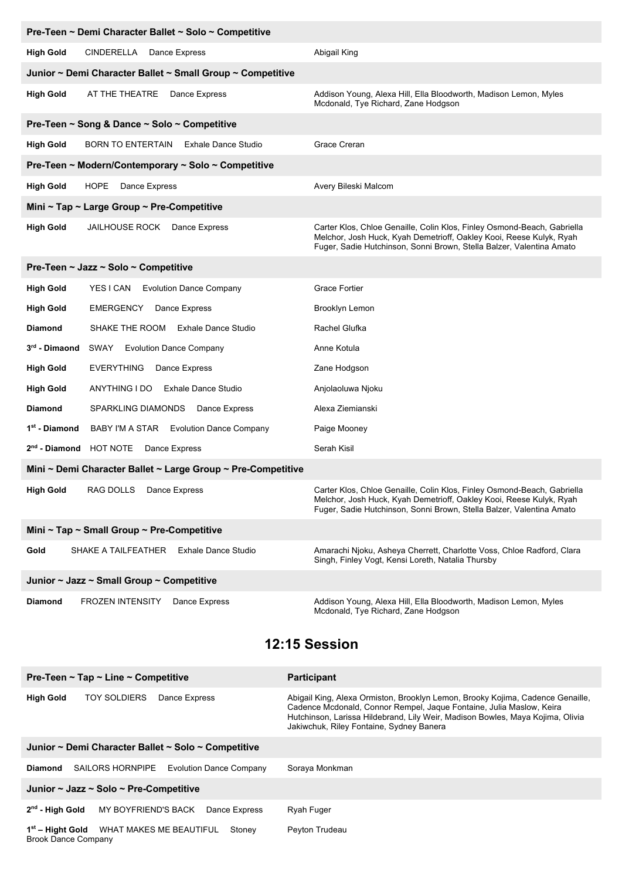| Pre-Teen ~ Demi Character Ballet ~ Solo ~ Competitive                      |                                                                                                                                                                                                                        |  |
|----------------------------------------------------------------------------|------------------------------------------------------------------------------------------------------------------------------------------------------------------------------------------------------------------------|--|
| <b>High Gold</b><br>CINDERELLA Dance Express                               | Abigail King                                                                                                                                                                                                           |  |
| Junior ~ Demi Character Ballet ~ Small Group ~ Competitive                 |                                                                                                                                                                                                                        |  |
| <b>High Gold</b><br>AT THE THEATRE<br>Dance Express                        | Addison Young, Alexa Hill, Ella Bloodworth, Madison Lemon, Myles<br>Mcdonald, Tye Richard, Zane Hodgson                                                                                                                |  |
| Pre-Teen ~ Song & Dance ~ Solo ~ Competitive                               |                                                                                                                                                                                                                        |  |
| <b>High Gold</b><br><b>BORN TO ENTERTAIN</b><br><b>Exhale Dance Studio</b> | Grace Creran                                                                                                                                                                                                           |  |
| Pre-Teen ~ Modern/Contemporary ~ Solo ~ Competitive                        |                                                                                                                                                                                                                        |  |
| <b>HOPE</b><br><b>High Gold</b><br>Dance Express                           | Avery Bileski Malcom                                                                                                                                                                                                   |  |
| Mini ~ Tap ~ Large Group ~ Pre-Competitive                                 |                                                                                                                                                                                                                        |  |
| <b>High Gold</b><br>JAILHOUSE ROCK Dance Express                           | Carter Klos, Chloe Genaille, Colin Klos, Finley Osmond-Beach, Gabriella<br>Melchor, Josh Huck, Kyah Demetrioff, Oakley Kooi, Reese Kulyk, Ryah<br>Fuger, Sadie Hutchinson, Sonni Brown, Stella Balzer, Valentina Amato |  |
| Pre-Teen ~ Jazz ~ Solo ~ Competitive                                       |                                                                                                                                                                                                                        |  |
| YES I CAN Evolution Dance Company<br><b>High Gold</b>                      | <b>Grace Fortier</b>                                                                                                                                                                                                   |  |
| <b>High Gold</b><br>EMERGENCY<br>Dance Express                             | Brooklyn Lemon                                                                                                                                                                                                         |  |
| SHAKE THE ROOM<br><b>Exhale Dance Studio</b><br><b>Diamond</b>             | Rachel Glufka                                                                                                                                                                                                          |  |
| 3 <sup>rd</sup> - Dimaond<br><b>SWAY</b> Evolution Dance Company           | Anne Kotula                                                                                                                                                                                                            |  |
| EVERYTHING<br><b>High Gold</b><br>Dance Express                            | Zane Hodgson                                                                                                                                                                                                           |  |
| <b>High Gold</b><br>ANYTHING I DO Exhale Dance Studio                      | Anjolaoluwa Njoku                                                                                                                                                                                                      |  |
| <b>Diamond</b><br>SPARKLING DIAMONDS<br>Dance Express                      | Alexa Ziemianski                                                                                                                                                                                                       |  |
| 1 <sup>st</sup> - Diamond<br>BABY I'M A STAR Evolution Dance Company       | Paige Mooney                                                                                                                                                                                                           |  |
| 2 <sup>nd</sup> - Diamond HOT NOTE<br>Dance Express                        | Serah Kisil                                                                                                                                                                                                            |  |
| Mini ~ Demi Character Ballet ~ Large Group ~ Pre-Competitive               |                                                                                                                                                                                                                        |  |
| <b>High Gold</b><br>RAG DOLLS Dance Express                                | Carter Klos, Chloe Genaille, Colin Klos, Finley Osmond-Beach, Gabriella<br>Melchor, Josh Huck, Kyah Demetrioff, Oakley Kooi, Reese Kulyk, Ryah<br>Fuger, Sadie Hutchinson, Sonni Brown, Stella Balzer, Valentina Amato |  |
| Mini ~ Tap ~ Small Group ~ Pre-Competitive                                 |                                                                                                                                                                                                                        |  |
| <b>Exhale Dance Studio</b><br>Gold<br>SHAKE A TAILFEATHER                  | Amarachi Njoku, Asheya Cherrett, Charlotte Voss, Chloe Radford, Clara<br>Singh, Finley Vogt, Kensi Loreth, Natalia Thursby                                                                                             |  |
| Junior ~ Jazz ~ Small Group ~ Competitive                                  |                                                                                                                                                                                                                        |  |
| <b>Diamond</b><br><b>FROZEN INTENSITY</b><br>Dance Express                 | Addison Young, Alexa Hill, Ella Bloodworth, Madison Lemon, Myles<br>Mcdonald, Tye Richard, Zane Hodgson                                                                                                                |  |
| 12:15 Session                                                              |                                                                                                                                                                                                                        |  |
| Pre-Teen ~ Tap ~ Line ~ Competitive                                        | <b>Participant</b>                                                                                                                                                                                                     |  |

| <b>High Gold</b><br><b>TOY SOLDIERS</b><br>Dance Express                              | Abigail King, Alexa Ormiston, Brooklyn Lemon, Brooky Kojima, Cadence Genaille,<br>Cadence Mcdonald, Connor Rempel, Jaque Fontaine, Julia Maslow, Keira<br>Hutchinson, Larissa Hildebrand, Lily Weir, Madison Bowles, Maya Kojima, Olivia<br>Jakiwchuk, Riley Fontaine, Sydney Banera |  |  |
|---------------------------------------------------------------------------------------|--------------------------------------------------------------------------------------------------------------------------------------------------------------------------------------------------------------------------------------------------------------------------------------|--|--|
| Junior ~ Demi Character Ballet ~ Solo ~ Competitive                                   |                                                                                                                                                                                                                                                                                      |  |  |
| SAILORS HORNPIPE<br><b>Evolution Dance Company</b><br>Diamond                         | Soraya Monkman                                                                                                                                                                                                                                                                       |  |  |
| Junior $\sim$ Jazz $\sim$ Solo $\sim$ Pre-Competitive                                 |                                                                                                                                                                                                                                                                                      |  |  |
| $2nd$ - High Gold<br>MY BOYFRIEND'S BACK<br>Dance Express                             | Ryah Fuger                                                                                                                                                                                                                                                                           |  |  |
| WHAT MAKES ME BEAUTIFUL<br>$1st$ – Hight Gold<br>Stoney<br><b>Brook Dance Company</b> | Peyton Trudeau                                                                                                                                                                                                                                                                       |  |  |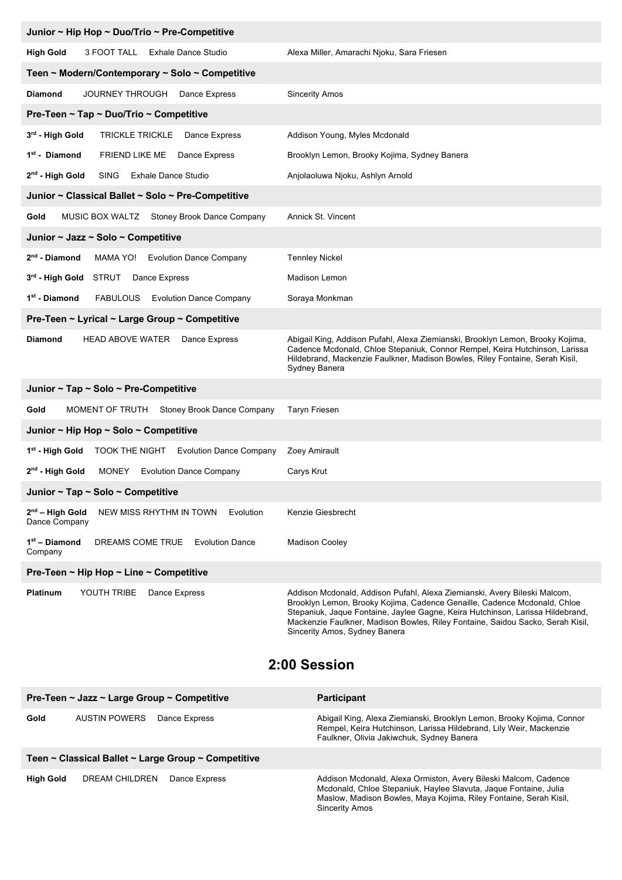| Junior ~ Hip Hop ~ Duo/Trio ~ Pre-Competitive                              |                                                                                                                                                                                                                                                                                                                                                            |  |
|----------------------------------------------------------------------------|------------------------------------------------------------------------------------------------------------------------------------------------------------------------------------------------------------------------------------------------------------------------------------------------------------------------------------------------------------|--|
| <b>High Gold</b><br>3 FOOT TALL<br><b>Exhale Dance Studio</b>              | Alexa Miller, Amarachi Njoku, Sara Friesen                                                                                                                                                                                                                                                                                                                 |  |
| Teen ~ Modern/Contemporary ~ Solo ~ Competitive                            |                                                                                                                                                                                                                                                                                                                                                            |  |
| <b>Diamond</b><br>JOURNEY THROUGH Dance Express                            | <b>Sincerity Amos</b>                                                                                                                                                                                                                                                                                                                                      |  |
| Pre-Teen ~ Tap ~ Duo/Trio ~ Competitive                                    |                                                                                                                                                                                                                                                                                                                                                            |  |
| 3rd - High Gold<br>TRICKLE TRICKLE Dance Express                           | Addison Young, Myles Mcdonald                                                                                                                                                                                                                                                                                                                              |  |
| 1 <sup>st</sup> - Diamond<br>FRIEND LIKE ME Dance Express                  | Brooklyn Lemon, Brooky Kojima, Sydney Banera                                                                                                                                                                                                                                                                                                               |  |
| 2 <sup>nd</sup> - High Gold<br>SING<br><b>Exhale Dance Studio</b>          | Anjolaoluwa Njoku, Ashlyn Arnold                                                                                                                                                                                                                                                                                                                           |  |
| Junior ~ Classical Ballet ~ Solo ~ Pre-Competitive                         |                                                                                                                                                                                                                                                                                                                                                            |  |
| MUSIC BOX WALTZ Stoney Brook Dance Company<br>Gold                         | Annick St. Vincent                                                                                                                                                                                                                                                                                                                                         |  |
| Junior ~ Jazz ~ Solo ~ Competitive                                         |                                                                                                                                                                                                                                                                                                                                                            |  |
| $2nd$ - Diamond<br>MAMA YO! Evolution Dance Company                        | <b>Tennley Nickel</b>                                                                                                                                                                                                                                                                                                                                      |  |
| 3rd - High Gold STRUT Dance Express                                        | <b>Madison Lemon</b>                                                                                                                                                                                                                                                                                                                                       |  |
| 1 <sup>st</sup> - Diamond<br>FABULOUS Evolution Dance Company              | Soraya Monkman                                                                                                                                                                                                                                                                                                                                             |  |
| Pre-Teen ~ Lyrical ~ Large Group ~ Competitive                             |                                                                                                                                                                                                                                                                                                                                                            |  |
| <b>Diamond</b><br><b>HEAD ABOVE WATER</b><br>Dance Express                 | Abigail King, Addison Pufahl, Alexa Ziemianski, Brooklyn Lemon, Brooky Kojima,<br>Cadence Mcdonald, Chloe Stepaniuk, Connor Rempel, Keira Hutchinson, Larissa<br>Hildebrand, Mackenzie Faulkner, Madison Bowles, Riley Fontaine, Serah Kisil,<br>Sydney Banera                                                                                             |  |
| Junior $\sim$ Tap $\sim$ Solo $\sim$ Pre-Competitive                       |                                                                                                                                                                                                                                                                                                                                                            |  |
| MOMENT OF TRUTH Stoney Brook Dance Company<br>Gold                         | <b>Taryn Friesen</b>                                                                                                                                                                                                                                                                                                                                       |  |
| Junior ~ Hip Hop ~ Solo ~ Competitive                                      |                                                                                                                                                                                                                                                                                                                                                            |  |
| 1st - High Gold<br>TOOK THE NIGHT Evolution Dance Company                  | Zoey Amirault                                                                                                                                                                                                                                                                                                                                              |  |
| $2nd$ - High Gold<br>MONEY Evolution Dance Company                         | Carys Krut                                                                                                                                                                                                                                                                                                                                                 |  |
| Junior ~ Tap ~ Solo ~ Competitive                                          |                                                                                                                                                                                                                                                                                                                                                            |  |
| $2nd$ – High Gold<br>NEW MISS RHYTHM IN TOWN<br>Evolution<br>Dance Company | Kenzie Giesbrecht                                                                                                                                                                                                                                                                                                                                          |  |
| $1st$ – Diamond<br>DREAMS COME TRUE<br><b>Evolution Dance</b><br>Company   | <b>Madison Cooley</b>                                                                                                                                                                                                                                                                                                                                      |  |
| Pre-Teen ~ Hip Hop ~ Line ~ Competitive                                    |                                                                                                                                                                                                                                                                                                                                                            |  |
| Platinum<br>YOUTH TRIBE<br>Dance Express                                   | Addison Mcdonald, Addison Pufahl, Alexa Ziemianski, Avery Bileski Malcom,<br>Brooklyn Lemon, Brooky Kojima, Cadence Genaille, Cadence Mcdonald, Chloe<br>Stepaniuk, Jaque Fontaine, Jaylee Gagne, Keira Hutchinson, Larissa Hildebrand,<br>Mackenzie Faulkner, Madison Bowles, Riley Fontaine, Saidou Sacko, Serah Kisil,<br>Sincerity Amos, Sydney Banera |  |

#### **2:00 Session**

|                                                     | Pre-Teen $\sim$ Jazz $\sim$ Large Group $\sim$ Competitive |               | <b>Participant</b>                                                                                                                                                                                                                |
|-----------------------------------------------------|------------------------------------------------------------|---------------|-----------------------------------------------------------------------------------------------------------------------------------------------------------------------------------------------------------------------------------|
| Gold                                                | AUSTIN POWERS                                              | Dance Express | Abigail King, Alexa Ziemianski, Brooklyn Lemon, Brooky Kojima, Connor<br>Rempel, Keira Hutchinson, Larissa Hildebrand, Lily Weir, Mackenzie<br>Faulkner, Olivia Jakiwchuk, Sydney Banera                                          |
| Teen ~ Classical Ballet ~ Large Group ~ Competitive |                                                            |               |                                                                                                                                                                                                                                   |
| High Gold                                           | DREAM CHILDREN                                             | Dance Express | Addison Mcdonald, Alexa Ormiston, Avery Bileski Malcom, Cadence<br>Mcdonald, Chloe Stepaniuk, Haylee Slavuta, Jaque Fontaine, Julia<br>Maslow, Madison Bowles, Maya Kojima, Riley Fontaine, Serah Kisil,<br><b>Sincerity Amos</b> |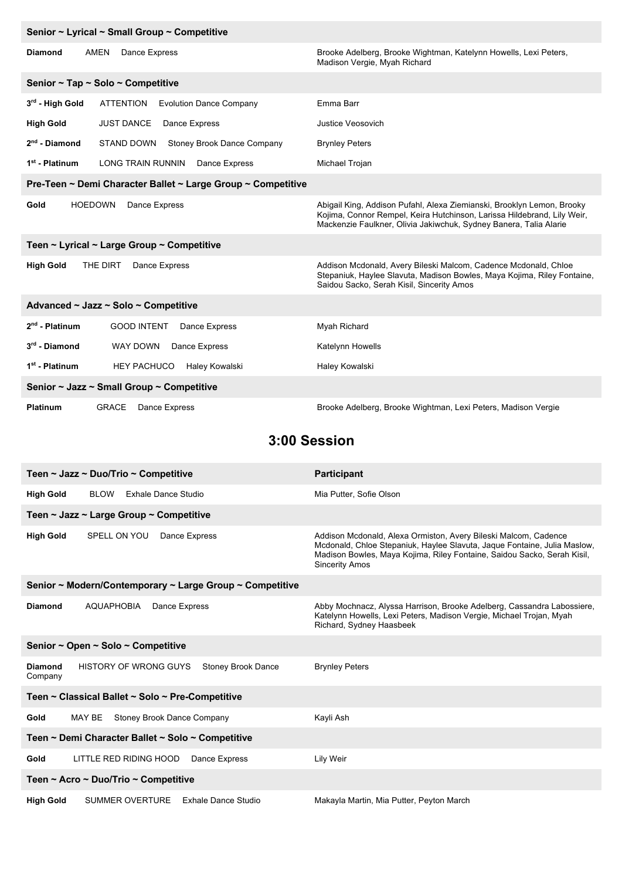| Senior ~ Lyrical ~ Small Group ~ Competitive                          |                                                                                                                                                                                                                        |  |  |
|-----------------------------------------------------------------------|------------------------------------------------------------------------------------------------------------------------------------------------------------------------------------------------------------------------|--|--|
| <b>Diamond</b><br><b>AMEN</b><br>Dance Express                        | Brooke Adelberg, Brooke Wightman, Katelynn Howells, Lexi Peters,<br>Madison Vergie, Myah Richard                                                                                                                       |  |  |
| Senior $\sim$ Tap $\sim$ Solo $\sim$ Competitive                      |                                                                                                                                                                                                                        |  |  |
| 3rd - High Gold<br><b>ATTENTION</b><br><b>Evolution Dance Company</b> | Emma Barr                                                                                                                                                                                                              |  |  |
| <b>High Gold</b><br><b>JUST DANCE</b><br>Dance Express                | Justice Veosovich                                                                                                                                                                                                      |  |  |
| $2nd$ - Diamond<br>STAND DOWN<br>Stoney Brook Dance Company           | <b>Brynley Peters</b>                                                                                                                                                                                                  |  |  |
| 1 <sup>st</sup> - Platinum<br>LONG TRAIN RUNNIN Dance Express         | Michael Trojan                                                                                                                                                                                                         |  |  |
| Pre-Teen ~ Demi Character Ballet ~ Large Group ~ Competitive          |                                                                                                                                                                                                                        |  |  |
| <b>HOEDOWN</b><br>Dance Express<br>Gold                               | Abigail King, Addison Pufahl, Alexa Ziemianski, Brooklyn Lemon, Brooky<br>Kojima, Connor Rempel, Keira Hutchinson, Larissa Hildebrand, Lily Weir,<br>Mackenzie Faulkner, Olivia Jakiwchuk, Sydney Banera, Talia Alarie |  |  |
| Teen ~ Lyrical ~ Large Group ~ Competitive                            |                                                                                                                                                                                                                        |  |  |
| THE DIRT<br><b>High Gold</b><br>Dance Express                         | Addison Mcdonald, Avery Bileski Malcom, Cadence Mcdonald, Chloe<br>Stepaniuk, Haylee Slavuta, Madison Bowles, Maya Kojima, Riley Fontaine,<br>Saidou Sacko, Serah Kisil, Sincerity Amos                                |  |  |
| Advanced ~ Jazz ~ Solo ~ Competitive                                  |                                                                                                                                                                                                                        |  |  |
| $2nd$ - Platinum<br><b>GOOD INTENT</b><br>Dance Express               | Myah Richard                                                                                                                                                                                                           |  |  |
| $3rd$ - Diamond<br>WAY DOWN<br>Dance Express                          | Katelynn Howells                                                                                                                                                                                                       |  |  |
| 1 <sup>st</sup> - Platinum<br>HEY PACHUCO<br>Haley Kowalski           | Haley Kowalski                                                                                                                                                                                                         |  |  |
| Senior ~ Jazz ~ Small Group ~ Competitive                             |                                                                                                                                                                                                                        |  |  |
| <b>Platinum</b><br><b>GRACE</b><br>Dance Express                      | Brooke Adelberg, Brooke Wightman, Lexi Peters, Madison Vergie                                                                                                                                                          |  |  |

### **3:00 Session**

| Teen ~ Jazz ~ Duo/Trio ~ Competitive                                                   | <b>Participant</b>                                                                                                                                                                                                                              |  |
|----------------------------------------------------------------------------------------|-------------------------------------------------------------------------------------------------------------------------------------------------------------------------------------------------------------------------------------------------|--|
| <b>BLOW</b><br>Exhale Dance Studio<br><b>High Gold</b>                                 | Mia Putter, Sofie Olson                                                                                                                                                                                                                         |  |
| Teen ~ Jazz ~ Large Group ~ Competitive                                                |                                                                                                                                                                                                                                                 |  |
| <b>High Gold</b><br>SPELL ON YOU<br>Dance Express                                      | Addison Mcdonald, Alexa Ormiston, Avery Bileski Malcom, Cadence<br>Mcdonald, Chloe Stepaniuk, Haylee Slavuta, Jaque Fontaine, Julia Maslow,<br>Madison Bowles, Maya Kojima, Riley Fontaine, Saidou Sacko, Serah Kisil,<br><b>Sincerity Amos</b> |  |
| Senior ~ Modern/Contemporary ~ Large Group ~ Competitive                               |                                                                                                                                                                                                                                                 |  |
| <b>AQUAPHOBIA</b><br><b>Diamond</b><br>Dance Express                                   | Abby Mochnacz, Alyssa Harrison, Brooke Adelberg, Cassandra Labossiere,<br>Katelynn Howells, Lexi Peters, Madison Vergie, Michael Trojan, Myah<br>Richard, Sydney Haasbeek                                                                       |  |
| Senior ~ Open ~ Solo ~ Competitive                                                     |                                                                                                                                                                                                                                                 |  |
| <b>HISTORY OF WRONG GUYS</b><br><b>Diamond</b><br><b>Stoney Brook Dance</b><br>Company | <b>Brynley Peters</b>                                                                                                                                                                                                                           |  |
| Teen ~ Classical Ballet ~ Solo ~ Pre-Competitive                                       |                                                                                                                                                                                                                                                 |  |
| MAY BE<br><b>Stoney Brook Dance Company</b><br>Gold                                    | Kayli Ash                                                                                                                                                                                                                                       |  |
| Teen ~ Demi Character Ballet ~ Solo ~ Competitive                                      |                                                                                                                                                                                                                                                 |  |
| LITTLE RED RIDING HOOD<br>Dance Express<br>Gold                                        | Lily Weir                                                                                                                                                                                                                                       |  |
| Teen ~ Acro ~ Duo/Trio ~ Competitive                                                   |                                                                                                                                                                                                                                                 |  |
| <b>SUMMER OVERTURE</b><br>Exhale Dance Studio<br><b>High Gold</b>                      | Makayla Martin, Mia Putter, Peyton March                                                                                                                                                                                                        |  |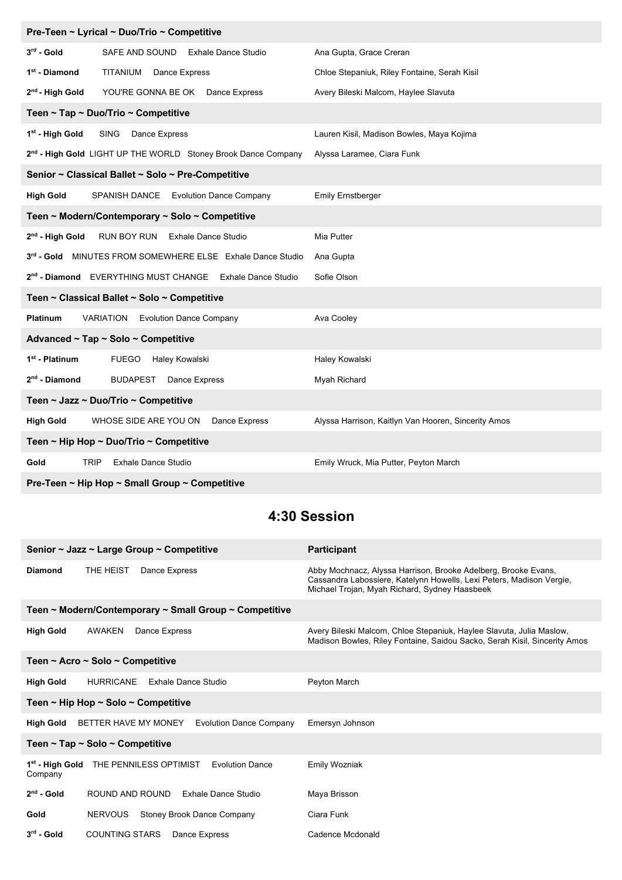| Pre-Teen ~ Lyrical ~ Duo/Trio ~ Competitive                               |                                                     |  |  |
|---------------------------------------------------------------------------|-----------------------------------------------------|--|--|
| $3rd$ - Gold<br>SAFE AND SOUND Exhale Dance Studio                        | Ana Gupta, Grace Creran                             |  |  |
| 1 <sup>st</sup> - Diamond<br>TITANIUM Dance Express                       | Chloe Stepaniuk, Riley Fontaine, Serah Kisil        |  |  |
| 2 <sup>nd</sup> - High Gold<br>YOU'RE GONNA BE OK Dance Express           | Avery Bileski Malcom, Haylee Slavuta                |  |  |
| Teen ~ Tap ~ Duo/Trio ~ Competitive                                       |                                                     |  |  |
| 1st - High Gold<br>SING Dance Express                                     | Lauren Kisil, Madison Bowles, Maya Kojima           |  |  |
| 2 <sup>nd</sup> - High Gold LIGHT UP THE WORLD Stoney Brook Dance Company | Alyssa Laramee, Ciara Funk                          |  |  |
| Senior ~ Classical Ballet ~ Solo ~ Pre-Competitive                        |                                                     |  |  |
| <b>High Gold</b><br>SPANISH DANCE Evolution Dance Company                 | <b>Emily Ernstberger</b>                            |  |  |
| Teen ~ Modern/Contemporary ~ Solo ~ Competitive                           |                                                     |  |  |
| 2 <sup>nd</sup> - High Gold<br>RUN BOY RUN Exhale Dance Studio            | Mia Putter                                          |  |  |
| 3rd - Gold MINUTES FROM SOMEWHERE ELSE Exhale Dance Studio                | Ana Gupta                                           |  |  |
| 2 <sup>nd</sup> - Diamond EVERYTHING MUST CHANGE Exhale Dance Studio      | Sofie Olson                                         |  |  |
| Teen ~ Classical Ballet ~ Solo ~ Competitive                              |                                                     |  |  |
| Platinum<br><b>VARIATION</b> Evolution Dance Company                      | Ava Cooley                                          |  |  |
| Advanced ~ Tap ~ Solo ~ Competitive                                       |                                                     |  |  |
| 1 <sup>st</sup> - Platinum<br><b>FUEGO</b><br>Haley Kowalski              | Haley Kowalski                                      |  |  |
| $2nd$ - Diamond<br><b>BUDAPEST</b> Dance Express                          | Myah Richard                                        |  |  |
| Teen ~ Jazz ~ Duo/Trio ~ Competitive                                      |                                                     |  |  |
| <b>High Gold</b><br>WHOSE SIDE ARE YOU ON<br>Dance Express                | Alyssa Harrison, Kaitlyn Van Hooren, Sincerity Amos |  |  |
| Teen ~ Hip Hop ~ Duo/Trio ~ Competitive                                   |                                                     |  |  |
| <b>TRIP</b><br><b>Exhale Dance Studio</b><br>Gold                         | Emily Wruck, Mia Putter, Peyton March               |  |  |
| Pre-Teen ~ Hip Hop ~ Small Group ~ Competitive                            |                                                     |  |  |

## **4:30 Session**

| Senior ~ Jazz ~ Large Group ~ Competitive                                                  | <b>Participant</b>                                                                                                                                                                      |  |  |
|--------------------------------------------------------------------------------------------|-----------------------------------------------------------------------------------------------------------------------------------------------------------------------------------------|--|--|
| THE HEIST<br><b>Diamond</b><br>Dance Express                                               | Abby Mochnacz, Alyssa Harrison, Brooke Adelberg, Brooke Evans,<br>Cassandra Labossiere, Katelynn Howells, Lexi Peters, Madison Vergie,<br>Michael Trojan, Myah Richard, Sydney Haasbeek |  |  |
| Teen ~ Modern/Contemporary ~ Small Group ~ Competitive                                     |                                                                                                                                                                                         |  |  |
| <b>AWAKEN</b><br>Dance Express<br><b>High Gold</b>                                         | Avery Bileski Malcom, Chloe Stepaniuk, Haylee Slavuta, Julia Maslow,<br>Madison Bowles, Riley Fontaine, Saidou Sacko, Serah Kisil, Sincerity Amos                                       |  |  |
| Teen ~ Acro ~ Solo ~ Competitive                                                           |                                                                                                                                                                                         |  |  |
| <b>HURRICANE</b><br><b>Exhale Dance Studio</b><br><b>High Gold</b>                         | Peyton March                                                                                                                                                                            |  |  |
| Teen ~ Hip Hop ~ Solo ~ Competitive                                                        |                                                                                                                                                                                         |  |  |
| BETTER HAVE MY MONEY<br><b>Evolution Dance Company</b><br><b>High Gold</b>                 | Emersyn Johnson                                                                                                                                                                         |  |  |
| Teen $\sim$ Tap $\sim$ Solo $\sim$ Competitive                                             |                                                                                                                                                                                         |  |  |
| THE PENNILESS OPTIMIST<br>1 <sup>st</sup> - High Gold<br><b>Evolution Dance</b><br>Company | <b>Emily Wozniak</b>                                                                                                                                                                    |  |  |
| $2nd$ - Gold<br>ROUND AND ROUND<br>Exhale Dance Studio                                     | Maya Brisson                                                                                                                                                                            |  |  |
| <b>NERVOUS</b><br>Stoney Brook Dance Company<br>Gold                                       | Ciara Funk                                                                                                                                                                              |  |  |
| $3rd$ - Gold<br><b>COUNTING STARS</b><br>Dance Express                                     | Cadence Mcdonald                                                                                                                                                                        |  |  |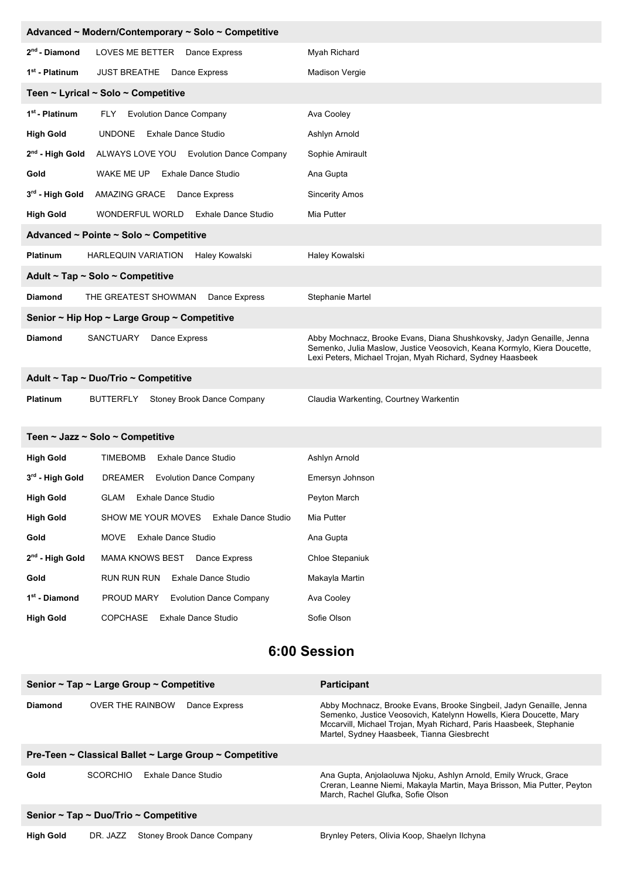| Advanced ~ Modern/Contemporary ~ Solo ~ Competitive |                                                       |                                                                                                                                                                                                                 |  |
|-----------------------------------------------------|-------------------------------------------------------|-----------------------------------------------------------------------------------------------------------------------------------------------------------------------------------------------------------------|--|
| 2 <sup>nd</sup> - Diamond                           | LOVES ME BETTER Dance Express                         | Myah Richard                                                                                                                                                                                                    |  |
| 1 <sup>st</sup> - Platinum                          | JUST BREATHE Dance Express                            | <b>Madison Vergie</b>                                                                                                                                                                                           |  |
|                                                     | Teen ~ Lyrical ~ Solo ~ Competitive                   |                                                                                                                                                                                                                 |  |
| 1 <sup>st</sup> - Platinum                          | <b>Evolution Dance Company</b><br>FLY                 | Ava Cooley                                                                                                                                                                                                      |  |
| <b>High Gold</b>                                    | <b>UNDONE</b><br><b>Exhale Dance Studio</b>           | Ashlyn Arnold                                                                                                                                                                                                   |  |
| $2nd$ - High Gold                                   | ALWAYS LOVE YOU Evolution Dance Company               | Sophie Amirault                                                                                                                                                                                                 |  |
| Gold                                                | WAKE ME UP<br><b>Exhale Dance Studio</b>              | Ana Gupta                                                                                                                                                                                                       |  |
| 3 <sup>rd</sup> - High Gold                         | AMAZING GRACE Dance Express                           | <b>Sincerity Amos</b>                                                                                                                                                                                           |  |
| <b>High Gold</b>                                    | WONDERFUL WORLD<br><b>Exhale Dance Studio</b>         | Mia Putter                                                                                                                                                                                                      |  |
|                                                     | Advanced ~ Pointe ~ Solo ~ Competitive                |                                                                                                                                                                                                                 |  |
| <b>Platinum</b>                                     | Haley Kowalski<br><b>HARLEQUIN VARIATION</b>          | Haley Kowalski                                                                                                                                                                                                  |  |
|                                                     | Adult ~ Tap ~ Solo ~ Competitive                      |                                                                                                                                                                                                                 |  |
| <b>Diamond</b>                                      | THE GREATEST SHOWMAN<br>Dance Express                 | Stephanie Martel                                                                                                                                                                                                |  |
|                                                     | Senior ~ Hip Hop ~ Large Group ~ Competitive          |                                                                                                                                                                                                                 |  |
| <b>Diamond</b>                                      | SANCTUARY<br>Dance Express                            | Abby Mochnacz, Brooke Evans, Diana Shushkovsky, Jadyn Genaille, Jenna<br>Semenko, Julia Maslow, Justice Veosovich, Keana Kormylo, Kiera Doucette,<br>Lexi Peters, Michael Trojan, Myah Richard, Sydney Haasbeek |  |
| Adult ~ Tap ~ Duo/Trio ~ Competitive                |                                                       |                                                                                                                                                                                                                 |  |
| Platinum                                            | <b>BUTTERFLY</b><br><b>Stoney Brook Dance Company</b> | Claudia Warkenting, Courtney Warkentin                                                                                                                                                                          |  |
|                                                     | Teen ~ Jazz ~ Solo ~ Competitive                      |                                                                                                                                                                                                                 |  |
| <b>High Gold</b>                                    | <b>TIMEBOMB</b><br><b>Exhale Dance Studio</b>         | Ashlyn Arnold                                                                                                                                                                                                   |  |
| 3rd - High Gold                                     | DREAMER<br><b>Evolution Dance Company</b>             | Emersyn Johnson                                                                                                                                                                                                 |  |
| <b>High Gold</b>                                    | <b>GLAM</b><br>Exhale Dance Studio                    | Peyton March                                                                                                                                                                                                    |  |
| <b>High Gold</b>                                    | SHOW ME YOUR MOVES<br><b>Exhale Dance Studio</b>      | Mia Putter                                                                                                                                                                                                      |  |
| Gold                                                | <b>Exhale Dance Studio</b><br>MOVE                    | Ana Gupta                                                                                                                                                                                                       |  |
| 2 <sup>nd</sup> - High Gold                         | MAMA KNOWS BEST<br>Dance Express                      | <b>Chloe Stepaniuk</b>                                                                                                                                                                                          |  |
| Gold                                                | RUN RUN RUN<br><b>Exhale Dance Studio</b>             | Makayla Martin                                                                                                                                                                                                  |  |
| 1 <sup>st</sup> - Diamond                           | PROUD MARY<br><b>Evolution Dance Company</b>          | Ava Cooley                                                                                                                                                                                                      |  |
| <b>High Gold</b>                                    | <b>COPCHASE</b><br><b>Exhale Dance Studio</b>         | Sofie Olson                                                                                                                                                                                                     |  |
|                                                     |                                                       |                                                                                                                                                                                                                 |  |

## **6:00 Session**

| Senior ~ Tap ~ Large Group ~ Competitive                               |                                          | <b>Participant</b>                                                                                                                                                                                                                                            |  |  |
|------------------------------------------------------------------------|------------------------------------------|---------------------------------------------------------------------------------------------------------------------------------------------------------------------------------------------------------------------------------------------------------------|--|--|
| <b>Diamond</b>                                                         | <b>OVER THE RAINBOW</b><br>Dance Express | Abby Mochnacz, Brooke Evans, Brooke Singbeil, Jadyn Genaille, Jenna<br>Semenko, Justice Veosovich, Katelynn Howells, Kiera Doucette, Mary<br>Mccarvill, Michael Trojan, Myah Richard, Paris Haasbeek, Stephanie<br>Martel, Sydney Haasbeek, Tianna Giesbrecht |  |  |
| Pre-Teen $\sim$ Classical Ballet $\sim$ Large Group $\sim$ Competitive |                                          |                                                                                                                                                                                                                                                               |  |  |
| Gold                                                                   | Exhale Dance Studio<br><b>SCORCHIO</b>   | Ana Gupta, Anjolaoluwa Njoku, Ashlyn Arnold, Emily Wruck, Grace<br>Creran, Leanne Niemi, Makayla Martin, Maya Brisson, Mia Putter, Peyton<br>March, Rachel Glufka, Sofie Olson                                                                                |  |  |
| Senior $\sim$ Tap $\sim$ Duo/Trio $\sim$ Competitive                   |                                          |                                                                                                                                                                                                                                                               |  |  |
| <b>High Gold</b>                                                       | Stoney Brook Dance Company<br>DR. JAZZ   | Brynley Peters, Olivia Koop, Shaelyn Ilchyna                                                                                                                                                                                                                  |  |  |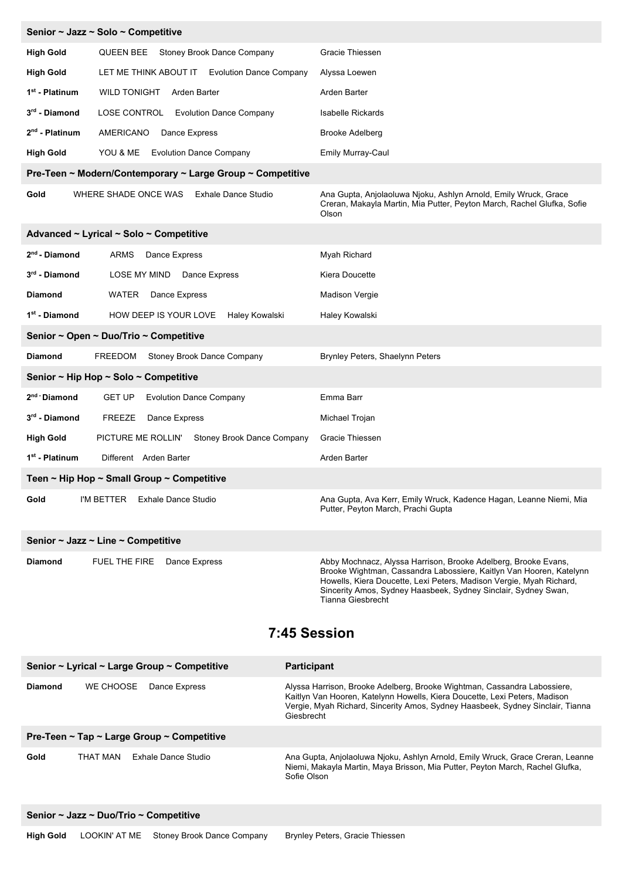|                                                           | Senior ~ Jazz ~ Solo ~ Competitive                         |                                                                                                                                                                                                                                                                                                     |  |  |
|-----------------------------------------------------------|------------------------------------------------------------|-----------------------------------------------------------------------------------------------------------------------------------------------------------------------------------------------------------------------------------------------------------------------------------------------------|--|--|
| <b>High Gold</b>                                          | Stoney Brook Dance Company<br>QUEEN BEE                    | Gracie Thiessen                                                                                                                                                                                                                                                                                     |  |  |
| <b>High Gold</b>                                          | LET ME THINK ABOUT IT Evolution Dance Company              | Alyssa Loewen                                                                                                                                                                                                                                                                                       |  |  |
| 1 <sup>st</sup> - Platinum                                | <b>WILD TONIGHT</b><br>Arden Barter                        | Arden Barter                                                                                                                                                                                                                                                                                        |  |  |
| 3rd - Diamond                                             | LOSE CONTROL Evolution Dance Company                       | Isabelle Rickards                                                                                                                                                                                                                                                                                   |  |  |
| $2nd$ - Platinum                                          | AMERICANO<br>Dance Express                                 | <b>Brooke Adelberg</b>                                                                                                                                                                                                                                                                              |  |  |
| <b>High Gold</b>                                          | YOU & ME Evolution Dance Company                           | Emily Murray-Caul                                                                                                                                                                                                                                                                                   |  |  |
|                                                           | Pre-Teen ~ Modern/Contemporary ~ Large Group ~ Competitive |                                                                                                                                                                                                                                                                                                     |  |  |
| Gold                                                      | WHERE SHADE ONCE WAS<br><b>Exhale Dance Studio</b>         | Ana Gupta, Anjolaoluwa Njoku, Ashlyn Arnold, Emily Wruck, Grace<br>Creran, Makayla Martin, Mia Putter, Peyton March, Rachel Glufka, Sofie<br>Olson                                                                                                                                                  |  |  |
| Advanced ~ Lyrical ~ Solo ~ Competitive                   |                                                            |                                                                                                                                                                                                                                                                                                     |  |  |
| 2 <sup>nd</sup> - Diamond                                 | ARMS<br>Dance Express                                      | Myah Richard                                                                                                                                                                                                                                                                                        |  |  |
| $3rd$ - Diamond                                           | LOSE MY MIND<br>Dance Express                              | Kiera Doucette                                                                                                                                                                                                                                                                                      |  |  |
| <b>Diamond</b>                                            | WATER<br>Dance Express                                     | <b>Madison Vergie</b>                                                                                                                                                                                                                                                                               |  |  |
| 1 <sup>st</sup> - Diamond                                 | HOW DEEP IS YOUR LOVE Haley Kowalski                       | Haley Kowalski                                                                                                                                                                                                                                                                                      |  |  |
| Senior ~ Open ~ Duo/Trio ~ Competitive                    |                                                            |                                                                                                                                                                                                                                                                                                     |  |  |
| <b>Diamond</b>                                            | Stoney Brook Dance Company<br>FREEDOM                      | Brynley Peters, Shaelynn Peters                                                                                                                                                                                                                                                                     |  |  |
| Senior ~ Hip Hop ~ Solo ~ Competitive                     |                                                            |                                                                                                                                                                                                                                                                                                     |  |  |
| 2 <sup>nd</sup> Diamond                                   | <b>GET UP</b><br><b>Evolution Dance Company</b>            | Emma Barr                                                                                                                                                                                                                                                                                           |  |  |
| 3 <sup>rd</sup> - Diamond                                 | <b>FREEZE</b><br>Dance Express                             | Michael Trojan                                                                                                                                                                                                                                                                                      |  |  |
| <b>High Gold</b>                                          | PICTURE ME ROLLIN' Stoney Brook Dance Company              | Gracie Thiessen                                                                                                                                                                                                                                                                                     |  |  |
| 1 <sup>st</sup> - Platinum                                | Different Arden Barter                                     | Arden Barter                                                                                                                                                                                                                                                                                        |  |  |
| Teen $\sim$ Hip Hop $\sim$ Small Group $\sim$ Competitive |                                                            |                                                                                                                                                                                                                                                                                                     |  |  |
| Gold                                                      | I'M BETTER Exhale Dance Studio                             | Ana Gupta, Ava Kerr, Emily Wruck, Kadence Hagan, Leanne Niemi, Mia<br>Putter, Peyton March, Prachi Gupta                                                                                                                                                                                            |  |  |
| Senior ~ Jazz ~ Line ~ Competitive                        |                                                            |                                                                                                                                                                                                                                                                                                     |  |  |
| <b>Diamond</b>                                            | FUEL THE FIRE<br>Dance Express                             | Abby Mochnacz, Alyssa Harrison, Brooke Adelberg, Brooke Evans,<br>Brooke Wightman, Cassandra Labossiere, Kaitlyn Van Hooren, Katelynn<br>Howells, Kiera Doucette, Lexi Peters, Madison Vergie, Myah Richard,<br>Sincerity Amos, Sydney Haasbeek, Sydney Sinclair, Sydney Swan,<br>Tianna Giesbrecht |  |  |
| 7:45 Session                                              |                                                            |                                                                                                                                                                                                                                                                                                     |  |  |
|                                                           | Senior ~ Lyrical ~ Large Group ~ Competitive               | <b>Participant</b>                                                                                                                                                                                                                                                                                  |  |  |
| <b>Diamond</b>                                            | WE CHOOSE<br>Dance Express                                 | Alyssa Harrison, Brooke Adelberg, Brooke Wightman, Cassandra Labossiere,<br>Kaitlyn Van Hooren, Katelynn Howells, Kiera Doucette, Lexi Peters, Madison<br>Vergie, Myah Richard, Sincerity Amos, Sydney Haasbeek, Sydney Sinclair, Tianna<br>Giesbrecht                                              |  |  |
| Pre-Teen ~ Tap ~ Large Group ~ Competitive                |                                                            |                                                                                                                                                                                                                                                                                                     |  |  |
| Gold                                                      | <b>Exhale Dance Studio</b><br>THAT MAN                     | Ana Gupta, Anjolaoluwa Njoku, Ashlyn Arnold, Emily Wruck, Grace Creran, Leanne<br>Niemi, Makayla Martin, Maya Brisson, Mia Putter, Peyton March, Rachel Glufka,<br>Sofie Olson                                                                                                                      |  |  |
| Senior ~ Jazz ~ Duo/Trio ~ Competitive                    |                                                            |                                                                                                                                                                                                                                                                                                     |  |  |
|                                                           |                                                            |                                                                                                                                                                                                                                                                                                     |  |  |